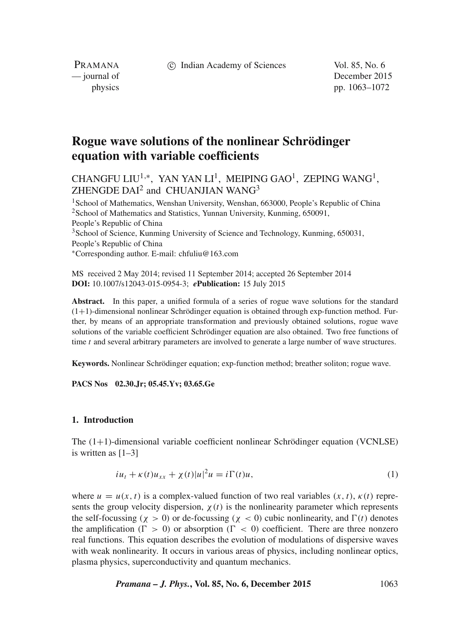c Indian Academy of Sciences Vol. 85, No. 6

PRAMANA<br>
— journal of

December 2015 physics pp. 1063–1072

# **Rogue wave solutions of the nonlinear Schrödinger equation with variable coefficients**

CHANGFU LIU<sup>1,∗</sup>, YAN YAN LI<sup>1</sup>, MEIPING GAO<sup>1</sup>, ZEPING WANG<sup>1</sup>,  $ZHENGDE DAI<sup>2</sup>$  and CHUANJIAN WANG<sup>3</sup>

<sup>1</sup> School of Mathematics, Wenshan University, Wenshan, 663000, People's Republic of China <sup>2</sup>School of Mathematics and Statistics, Yunnan University, Kunming, 650091, People's Republic of China <sup>3</sup>School of Science, Kunming University of Science and Technology, Kunming, 650031, People's Republic of China ∗Corresponding author. E-mail: chfuliu@163.com

MS received 2 May 2014; revised 11 September 2014; accepted 26 September 2014 **DOI:** 10.1007/s12043-015-0954-3; *e***Publication:** 15 July 2015

**Abstract.** In this paper, a unified formula of a series of rogue wave solutions for the standard  $(1+1)$ -dimensional nonlinear Schrödinger equation is obtained through exp-function method. Further, by means of an appropriate transformation and previously obtained solutions, rogue wave solutions of the variable coefficient Schrödinger equation are also obtained. Two free functions of time  $t$  and several arbitrary parameters are involved to generate a large number of wave structures.

**Keywords.** Nonlinear Schrödinger equation; exp-function method; breather soliton; rogue wave.

**PACS Nos 02.30.Jr; 05.45.Yv; 03.65.Ge**

## **1. Introduction**

The  $(1+1)$ -dimensional variable coefficient nonlinear Schrödinger equation (VCNLSE) is written as [1–3]

$$
iu_t + \kappa(t)u_{xx} + \chi(t)|u|^2 u = i\Gamma(t)u,
$$
\n(1)

where  $u = u(x, t)$  is a complex-valued function of two real variables  $(x, t)$ ,  $\kappa(t)$  represents the group velocity dispersion,  $\chi(t)$  is the nonlinearity parameter which represents the self-focussing ( $\chi > 0$ ) or de-focussing ( $\chi < 0$ ) cubic nonlinearity, and  $\Gamma(t)$  denotes the amplification ( $\Gamma > 0$ ) or absorption ( $\Gamma < 0$ ) coefficient. There are three nonzero real functions. This equation describes the evolution of modulations of dispersive waves with weak nonlinearity. It occurs in various areas of physics, including nonlinear optics, plasma physics, superconductivity and quantum mechanics.

*Pramana – J. Phys.***, Vol. 85, No. 6, December 2015** 1063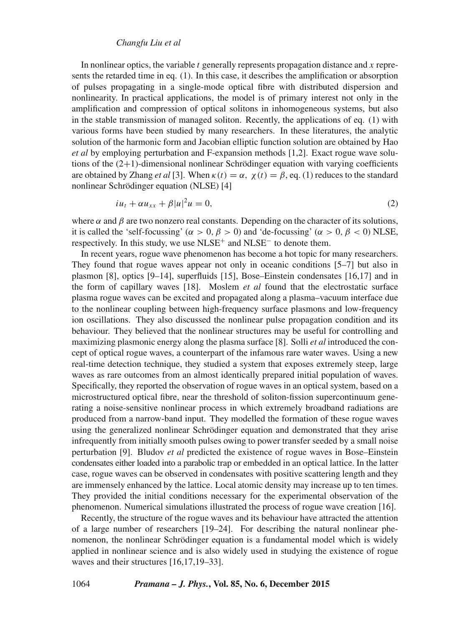## *Changfu Liu et al*

In nonlinear optics, the variable t generally represents propagation distance and x represents the retarded time in eq. (1). In this case, it describes the amplification or absorption of pulses propagating in a single-mode optical fibre with distributed dispersion and nonlinearity. In practical applications, the model is of primary interest not only in the amplification and compression of optical solitons in inhomogeneous systems, but also in the stable transmission of managed soliton. Recently, the applications of eq. (1) with various forms have been studied by many researchers. In these literatures, the analytic solution of the harmonic form and Jacobian elliptic function solution are obtained by Hao *et al* by employing perturbation and F-expansion methods [1,2]. Exact rogue wave solutions of the  $(2+1)$ -dimensional nonlinear Schrödinger equation with varying coefficients are obtained by Zhang *et al* [3]. When  $\kappa(t) = \alpha$ ,  $\chi(t) = \beta$ , eq. (1) reduces to the standard nonlinear Schrödinger equation (NLSE) [4]

$$
iu_t + \alpha u_{xx} + \beta |u|^2 u = 0, \tag{2}
$$

where  $\alpha$  and  $\beta$  are two nonzero real constants. Depending on the character of its solutions, it is called the 'self-focussing' ( $\alpha > 0$ ,  $\beta > 0$ ) and 'de-focussing' ( $\alpha > 0$ ,  $\beta < 0$ ) NLSE, respectively. In this study, we use NLSE<sup>+</sup> and NLSE<sup>−</sup> to denote them.

In recent years, rogue wave phenomenon has become a hot topic for many researchers. They found that rogue waves appear not only in oceanic conditions [5–7] but also in plasmon [8], optics [9–14], superfluids [15], Bose–Einstein condensates [16,17] and in the form of capillary waves [18]. Moslem *et al* found that the electrostatic surface plasma rogue waves can be excited and propagated along a plasma–vacuum interface due to the nonlinear coupling between high-frequency surface plasmons and low-frequency ion oscillations. They also discussed the nonlinear pulse propagation condition and its behaviour. They believed that the nonlinear structures may be useful for controlling and maximizing plasmonic energy along the plasma surface [8]. Solli *et al* introduced the concept of optical rogue waves, a counterpart of the infamous rare water waves. Using a new real-time detection technique, they studied a system that exposes extremely steep, large waves as rare outcomes from an almost identically prepared initial population of waves. Specifically, they reported the observation of rogue waves in an optical system, based on a microstructured optical fibre, near the threshold of soliton-fission supercontinuum generating a noise-sensitive nonlinear process in which extremely broadband radiations are produced from a narrow-band input. They modelled the formation of these rogue waves using the generalized nonlinear Schrödinger equation and demonstrated that they arise infrequently from initially smooth pulses owing to power transfer seeded by a small noise perturbation [9]. Bludov *et al* predicted the existence of rogue waves in Bose–Einstein condensates either loaded into a parabolic trap or embedded in an optical lattice. In the latter case, rogue waves can be observed in condensates with positive scattering length and they are immensely enhanced by the lattice. Local atomic density may increase up to ten times. They provided the initial conditions necessary for the experimental observation of the phenomenon. Numerical simulations illustrated the process of rogue wave creation [16].

Recently, the structure of the rogue waves and its behaviour have attracted the attention of a large number of researchers [19–24]. For describing the natural nonlinear phenomenon, the nonlinear Schrödinger equation is a fundamental model which is widely applied in nonlinear science and is also widely used in studying the existence of rogue waves and their structures [16,17,19–33].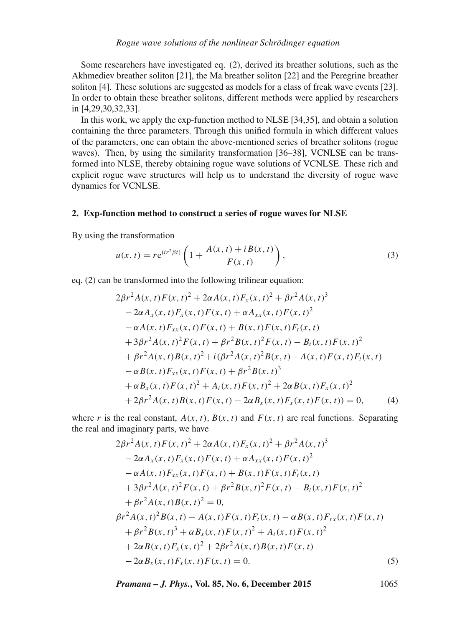Some researchers have investigated eq. (2), derived its breather solutions, such as the Akhmediev breather soliton [21], the Ma breather soliton [22] and the Peregrine breather soliton [4]. These solutions are suggested as models for a class of freak wave events [23]. In order to obtain these breather solitons, different methods were applied by researchers in [4,29,30,32,33].

In this work, we apply the exp-function method to NLSE [34,35], and obtain a solution containing the three parameters. Through this unified formula in which different values of the parameters, one can obtain the above-mentioned series of breather solitons (rogue waves). Then, by using the similarity transformation [36–38], VCNLSE can be transformed into NLSE, thereby obtaining rogue wave solutions of VCNLSE. These rich and explicit rogue wave structures will help us to understand the diversity of rogue wave dynamics for VCNLSE.

### **2. Exp-function method to construct a series of rogue waves for NLSE**

By using the transformation

$$
u(x,t) = re^{(ir^{2}\beta t)}\left(1 + \frac{A(x,t) + iB(x,t)}{F(x,t)}\right),
$$
\n(3)

eq. (2) can be transformed into the following trilinear equation:

$$
2\beta r^2 A(x, t) F(x, t)^2 + 2\alpha A(x, t) F_x(x, t)^2 + \beta r^2 A(x, t)^3
$$
  
\n
$$
-2\alpha A_x(x, t) F_x(x, t) F(x, t) + \alpha A_{xx}(x, t) F(x, t)^2
$$
  
\n
$$
-\alpha A(x, t) F_{xx}(x, t) F(x, t) + B(x, t) F(x, t) F_t(x, t)
$$
  
\n
$$
+3\beta r^2 A(x, t)^2 F(x, t) + \beta r^2 B(x, t)^2 F(x, t) - B_t(x, t) F(x, t)^2
$$
  
\n
$$
+ \beta r^2 A(x, t) B(x, t)^2 + i(\beta r^2 A(x, t)^2 B(x, t) - A(x, t) F(x, t) F_t(x, t)
$$
  
\n
$$
-\alpha B(x, t) F_{xx}(x, t) F(x, t) + \beta r^2 B(x, t)^3
$$
  
\n
$$
+ \alpha B_x(x, t) F(x, t)^2 + A_t(x, t) F(x, t)^2 + 2\alpha B(x, t) F_x(x, t)^2
$$
  
\n
$$
+2\beta r^2 A(x, t) B(x, t) F(x, t) - 2\alpha B_x(x, t) F_x(x, t) F(x, t)) = 0,
$$
 (4)

where r is the real constant,  $A(x, t)$ ,  $B(x, t)$  and  $F(x, t)$  are real functions. Separating the real and imaginary parts, we have

$$
2\beta r^2 A(x, t) F(x, t)^2 + 2\alpha A(x, t) F_x(x, t)^2 + \beta r^2 A(x, t)^3
$$
  
\n
$$
-2\alpha A_x(x, t) F_x(x, t) F(x, t) + \alpha A_{xx}(x, t) F(x, t)^2
$$
  
\n
$$
-\alpha A(x, t) F_{xx}(x, t) F(x, t) + B(x, t) F(x, t) F_t(x, t)
$$
  
\n
$$
+3\beta r^2 A(x, t)^2 F(x, t) + \beta r^2 B(x, t)^2 F(x, t) - B_t(x, t) F(x, t)^2
$$
  
\n
$$
+ \beta r^2 A(x, t) B(x, t)^2 = 0,
$$
  
\n
$$
\beta r^2 A(x, t)^2 B(x, t) - A(x, t) F(x, t) F_t(x, t) - \alpha B(x, t) F_{xx}(x, t) F(x, t)
$$
  
\n
$$
+ \beta r^2 B(x, t)^3 + \alpha B_x(x, t) F(x, t)^2 + A_t(x, t) F(x, t)^2
$$
  
\n
$$
+2\alpha B(x, t) F_x(x, t)^2 + 2\beta r^2 A(x, t) B(x, t) F(x, t)
$$
  
\n
$$
-2\alpha B_x(x, t) F_x(x, t) F(x, t) = 0.
$$
  
\n(5)

*Pramana – J. Phys.***, Vol. 85, No. 6, December 2015** 1065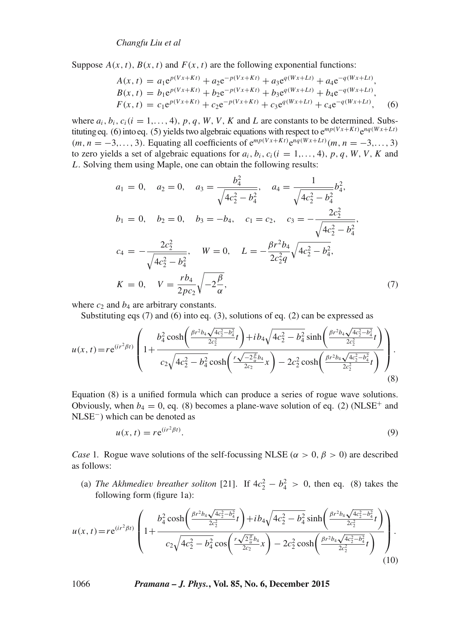*Changfu Liu et al*

Suppose  $A(x, t)$ ,  $B(x, t)$  and  $F(x, t)$  are the following exponential functions:

$$
A(x, t) = a_1 e^{p(Vx+Kt)} + a_2 e^{-p(Vx+Kt)} + a_3 e^{q(Wx+Lt)} + a_4 e^{-q(Wx+Lt)},
$$
  
\n
$$
B(x, t) = b_1 e^{p(Vx+Kt)} + b_2 e^{-p(Vx+Kt)} + b_3 e^{q(Wx+Lt)} + b_4 e^{-q(Wx+Lt)},
$$
  
\n
$$
F(x, t) = c_1 e^{p(Vx+Kt)} + c_2 e^{-p(Vx+Kt)} + c_3 e^{q(Wx+Lt)} + c_4 e^{-q(Wx+Lt)},
$$
\n(6)

where  $a_i, b_i, c_i (i = 1, \ldots, 4), p, q, W, V, K$  and L are constants to be determined. Substituting eq. (6) into eq. (5) yields two algebraic equations with respect to  $e^{mp(Vx+Kt)}e^{nq(Wx+Lt)}$  $(m, n = -3,..., 3)$ . Equating all coefficients of  $e^{mp(Vx+Kt)}e^{nq(Wx+Lt)}(m, n = -3,..., 3)$ to zero yields a set of algebraic equations for  $a_i, b_i, c_i (i = 1, \ldots, 4), p, q, W, V, K$  and L. Solving them using Maple, one can obtain the following results:

$$
a_1 = 0, \quad a_2 = 0, \quad a_3 = \frac{b_4^2}{\sqrt{4c_2^2 - b_4^2}}, \quad a_4 = \frac{1}{\sqrt{4c_2^2 - b_4^2}} b_4^2,
$$
  
\n
$$
b_1 = 0, \quad b_2 = 0, \quad b_3 = -b_4, \quad c_1 = c_2, \quad c_3 = -\frac{2c_2^2}{\sqrt{4c_2^2 - b_4^2}},
$$
  
\n
$$
c_4 = -\frac{2c_2^2}{\sqrt{4c_2^2 - b_4^2}}, \quad W = 0, \quad L = -\frac{\beta r^2 b_4}{2c_2^2 q} \sqrt{4c_2^2 - b_4^2},
$$
  
\n
$$
K = 0, \quad V = \frac{rb_4}{2pc_2} \sqrt{-2\frac{\beta}{\alpha}}, \tag{7}
$$

where  $c_2$  and  $b_4$  are arbitrary constants.

Substituting eqs (7) and (6) into eq. (3), solutions of eq. (2) can be expressed as

$$
u(x,t) = re^{(ir^2\beta t)} \left( 1 + \frac{b_4^2 \cosh\left(\frac{\beta r^2 b_4 \sqrt{4c_2^2 - b_4^2}}{2c_2^2}t\right) + ib_4 \sqrt{4c_2^2 - b_4^2} \sinh\left(\frac{\beta r^2 b_4 \sqrt{4c_2^2 - b_4^2}}{2c_2^2}t\right)}{c_2 \sqrt{4c_2^2 - b_4^2} \cosh\left(\frac{r\sqrt{-2\frac{\beta}{\alpha}}b_4}{2c_2}\right)} - 2c_2^2 \cosh\left(\frac{\beta r^2 b_4 \sqrt{4c_2^2 - b_4^2}}{2c_2^2}t\right)} \right).
$$
(8)

Equation (8) is a unified formula which can produce a series of rogue wave solutions. Obviously, when  $b_4 = 0$ , eq. (8) becomes a plane-wave solution of eq. (2) (NLSE<sup>+</sup> and NLSE−) which can be denoted as

$$
u(x,t) = re^{(ir^2\beta t)}.
$$
\n(9)

*Case* 1. Rogue wave solutions of the self-focussing NLSE ( $\alpha > 0$ ,  $\beta > 0$ ) are described as follows:

(a) *The Akhmediev breather soliton* [21]. If  $4c_2^2 - b_4^2 > 0$ , then eq. (8) takes the following form (figure 1a):

$$
u(x,t) = re^{(ir^2\beta t)} \left( 1 + \frac{b_4^2 \cosh\left(\frac{\beta r^2 b_4 \sqrt{4c_2^2 - b_4^2}}{2c_2^2}t\right) + ib_4 \sqrt{4c_2^2 - b_4^2} \sinh\left(\frac{\beta r^2 b_4 \sqrt{4c_2^2 - b_4^2}}{2c_2^2}t\right)}{c_2 \sqrt{4c_2^2 - b_4^2} \cos\left(\frac{r\sqrt{2\frac{\beta}{\alpha}}b_4}{2c_2}\right) - 2c_2^2 \cosh\left(\frac{\beta r^2 b_4 \sqrt{4c_2^2 - b_4^2}}{2c_2^2}t\right)} \right). \tag{10}
$$

1066 *Pramana – J. Phys.***, Vol. 85, No. 6, December 2015**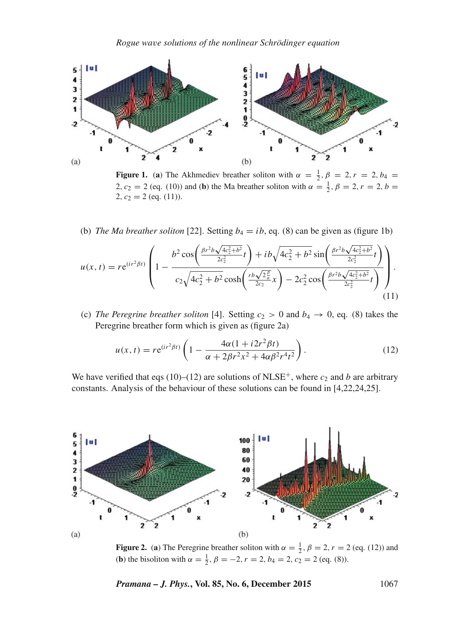

**Figure 1.** (a) The Akhmediev breather soliton with  $\alpha = \frac{1}{2}, \beta = 2, r = 2, b_4 =$ 2,  $c_2 = 2$  (eq. (10)) and (**b**) the Ma breather soliton with  $\alpha = \frac{1}{2}$ ,  $\beta = 2$ ,  $r = 2$ ,  $b =$ 2,  $c_2 = 2$  (eq. (11)).

(b) *The Ma breather soliton* [22]. Setting  $b_4 = ib$ , eq. (8) can be given as (figure 1b)

$$
u(x,t) = re^{(ir^2\beta t)} \left( 1 - \frac{b^2 \cos\left(\frac{\beta r^2 b \sqrt{4c_2^2 + b^2}}{2c_2^2}t\right) + ib\sqrt{4c_2^2 + b^2} \sin\left(\frac{\beta r^2 b \sqrt{4c_2^2 + b^2}}{2c_2^2}t\right)}{c_2 \sqrt{4c_2^2 + b^2} \cosh\left(\frac{rb\sqrt{2\frac{\beta}{\alpha}}}{2c_2}x\right) - 2c_2^2 \cos\left(\frac{\beta r^2 b \sqrt{4c_2^2 + b^2}}{2c_2^2}t\right)} \right).
$$
\n(11)

(c) *The Peregrine breather soliton* [4]. Setting  $c_2 > 0$  and  $b_4 \rightarrow 0$ , eq. (8) takes the Peregrine breather form which is given as (figure 2a)

$$
u(x,t) = re^{(ir^2\beta t)} \left( 1 - \frac{4\alpha(1 + i2r^2\beta t)}{\alpha + 2\beta r^2 x^2 + 4\alpha \beta^2 r^4 t^2} \right).
$$
 (12)

We have verified that eqs (10)–(12) are solutions of NLSE<sup>+</sup>, where  $c_2$  and b are arbitrary constants. Analysis of the behaviour of these solutions can be found in [4,22,24,25].



**Figure 2.** (a) The Peregrine breather soliton with  $\alpha = \frac{1}{2}$ ,  $\beta = 2$ ,  $r = 2$  (eq. (12)) and (**b**) the bisoliton with  $\alpha = \frac{1}{2}$ ,  $\beta = -2$ ,  $r = 2$ ,  $b_4 = 2$ ,  $c_2 = 2$  (eq. (8)).

*Pramana – J. Phys.***, Vol. 85, No. 6, December 2015** 1067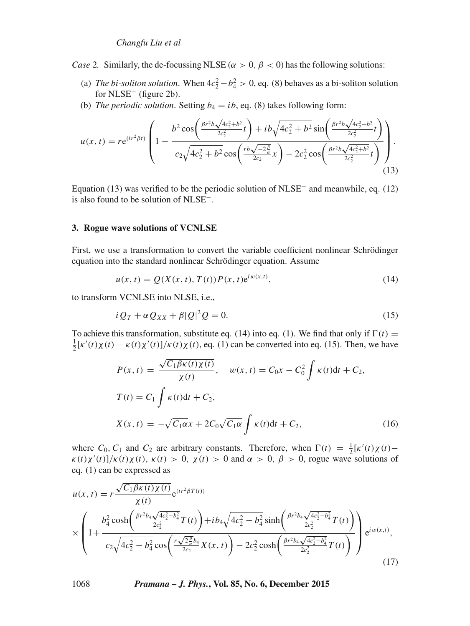*Case* 2. Similarly, the de-focussing NLSE ( $\alpha > 0$ ,  $\beta < 0$ ) has the following solutions:

- (a) *The bi-soliton solution*. When  $4c_2^2 b_4^2 > 0$ , eq. (8) behaves as a bi-soliton solution for NLSE<sup>−</sup> (figure 2b).
- (b) *The periodic solution*. Setting  $b_4 = ib$ , eq. (8) takes following form:

$$
u(x,t) = re^{(ir^2\beta t)} \left( 1 - \frac{b^2 \cos\left(\frac{\beta r^2 b \sqrt{4c_2^2 + b^2}}{2c_2^2}t\right) + ib\sqrt{4c_2^2 + b^2} \sin\left(\frac{\beta r^2 b \sqrt{4c_2^2 + b^2}}{2c_2^2}t\right)}{c_2 \sqrt{4c_2^2 + b^2} \cos\left(\frac{rb\sqrt{-2\frac{\beta}{\alpha}}}{2c_2}x\right) - 2c_2^2 \cos\left(\frac{\beta r^2 b \sqrt{4c_2^2 + b^2}}{2c_2^2}t\right)} \right).
$$
\n(13)

Equation (13) was verified to be the periodic solution of NLSE<sup>−</sup> and meanwhile, eq. (12) is also found to be solution of NLSE−.

### **3. Rogue wave solutions of VCNLSE**

First, we use a transformation to convert the variable coefficient nonlinear Schrödinger equation into the standard nonlinear Schrödinger equation. Assume

$$
u(x, t) = Q(X(x, t), T(t))P(x, t)e^{iw(x, t)},
$$
\n(14)

to transform VCNLSE into NLSE, i.e.,

$$
i Q_T + \alpha Q_{XX} + \beta |Q|^2 Q = 0. \tag{15}
$$

To achieve this transformation, substitute eq. (14) into eq. (1). We find that only if  $\Gamma(t)$  =  $\frac{1}{2} [\kappa'(t)\chi(t) - \kappa(t)\chi'(t)]/\kappa(t)\chi(t)$ , eq. (1) can be converted into eq. (15). Then, we have

$$
P(x, t) = \frac{\sqrt{C_1 \beta \kappa(t) \chi(t)}}{\chi(t)}, \quad w(x, t) = C_0 x - C_0^2 \int \kappa(t) dt + C_2,
$$
  
\n
$$
T(t) = C_1 \int \kappa(t) dt + C_2,
$$
  
\n
$$
X(x, t) = -\sqrt{C_1 \alpha} x + 2C_0 \sqrt{C_1 \alpha} \int \kappa(t) dt + C_2,
$$
\n(16)

where  $C_0$ ,  $C_1$  and  $C_2$  are arbitrary constants. Therefore, when  $\Gamma(t) = \frac{1}{2} [\kappa'(t)\chi(t) \kappa(t)\chi'(t)/\kappa(t)\chi(t)$ ,  $\kappa(t) > 0$ ,  $\chi(t) > 0$  and  $\alpha > 0$ ,  $\beta > 0$ , rogue wave solutions of eq. (1) can be expressed as

$$
u(x,t) = r \frac{\sqrt{C_1 \beta \kappa(t) \chi(t)}}{\chi(t)} e^{(i r^2 \beta T(t))}
$$
  
 
$$
\times \left( 1 + \frac{b_4^2 \cosh\left(\frac{\beta r^2 b_4 \sqrt{4c_2^2 - b_4^2}}{2c_2^2} T(t)\right) + ib_4 \sqrt{4c_2^2 - b_4^2} \sinh\left(\frac{\beta r^2 b_4 \sqrt{4c_2^2 - b_4^2}}{2c_2^2} T(t)\right)}{c_2 \sqrt{4c_2^2 - b_4^2} \cos\left(\frac{r \sqrt{2\frac{\beta}{\kappa}} b_4}{2c_2^2} X(x,t)\right) - 2c_2^2 \cosh\left(\frac{\beta r^2 b_4 \sqrt{4c_2^2 - b_4^2}}{2c_2^2} T(t)\right)} e^{iw(x,t)},
$$
\n(17)

1068 *Pramana – J. Phys.***, Vol. 85, No. 6, December 2015**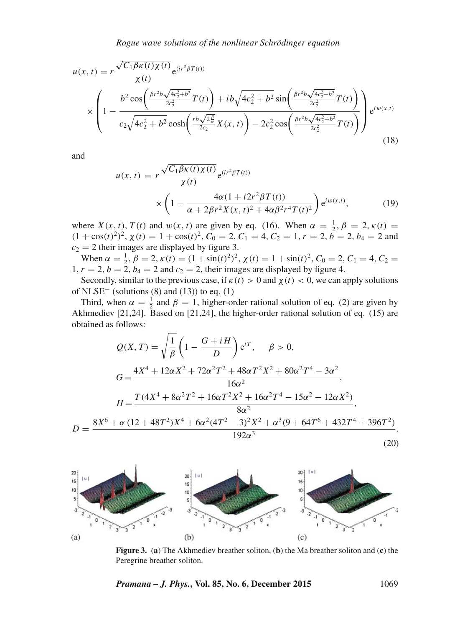$$
u(x,t) = r \frac{\sqrt{C_1 \beta \kappa(t) \chi(t)}}{\chi(t)} e^{(ir^2 \beta T(t))}
$$
  
 
$$
\times \left(1 - \frac{b^2 \cos\left(\frac{\beta r^2 b \sqrt{4c_2^2 + b^2}}{2c_2^2} T(t)\right) + ib \sqrt{4c_2^2 + b^2} \sin\left(\frac{\beta r^2 b \sqrt{4c_2^2 + b^2}}{2c_2^2} T(t)\right)}{c_2 \sqrt{4c_2^2 + b^2} \cosh\left(\frac{rb \sqrt{2\frac{\beta}{\alpha}}}{2c_2} X(x,t)\right) - 2c_2^2 \cos\left(\frac{\beta r^2 b \sqrt{4c_2^2 + b^2}}{2c_2^2} T(t)\right)} e^{iw(x,t)}
$$
(18)

and

$$
u(x,t) = r \frac{\sqrt{C_1 \beta \kappa(t) \chi(t)}}{\chi(t)} e^{(ir^2 \beta T(t))}
$$

$$
\times \left(1 - \frac{4\alpha (1 + i2r^2 \beta T(t))}{\alpha + 2\beta r^2 \chi(x,t)^2 + 4\alpha \beta^2 r^4 T(t)^2}\right) e^{iw(x,t)},
$$
(19)

where  $X(x, t)$ ,  $T(t)$  and  $w(x, t)$  are given by eq. (16). When  $\alpha = \frac{1}{2}, \beta = 2, \kappa(t) =$  $(1 + \cos(t)^2)^2$ ,  $\chi(t) = 1 + \cos(t)^2$ ,  $C_0 = 2$ ,  $C_1 = 4$ ,  $C_2 = 1$ ,  $r = 2$ ,  $b = 2$ ,  $b_4 = 2$  and  $c_2 = 2$  their images are displayed by figure 3.

When  $\alpha = \frac{1}{2}$ ,  $\beta = 2$ ,  $\kappa(t) = (1 + \sin(t)^2)^2$ ,  $\chi(t) = 1 + \sin(t)^2$ ,  $C_0 = 2$ ,  $C_1 = 4$ ,  $C_2 =$  $1, r = 2, b = 2, b_4 = 2$  and  $c_2 = 2$ , their images are displayed by figure 4.

Secondly, similar to the previous case, if  $\kappa(t) > 0$  and  $\chi(t) < 0$ , we can apply solutions of NLSE<sup> $-$ </sup> (solutions (8) and (13)) to eq. (1)

Third, when  $\alpha = \frac{1}{2}$  and  $\beta = 1$ , higher-order rational solution of eq. (2) are given by Akhmediev [21,24]. Based on [21,24], the higher-order rational solution of eq. (15) are obtained as follows:

$$
Q(X,T) = \sqrt{\frac{1}{\beta}} \left( 1 - \frac{G + iH}{D} \right) e^{iT}, \quad \beta > 0,
$$
  
\n
$$
G = \frac{4X^4 + 12\alpha X^2 + 72\alpha^2 T^2 + 48\alpha T^2 X^2 + 80\alpha^2 T^4 - 3\alpha^2}{16\alpha^2},
$$
  
\n
$$
H = \frac{T(4X^4 + 8\alpha^2 T^2 + 16\alpha T^2 X^2 + 16\alpha^2 T^4 - 15\alpha^2 - 12\alpha X^2)}{8\alpha^2},
$$
  
\n
$$
D = \frac{8X^6 + \alpha (12 + 48T^2)X^4 + 6\alpha^2 (4T^2 - 3)^2 X^2 + \alpha^3 (9 + 64T^6 + 432T^4 + 396T^2)}{192\alpha^3}.
$$
  
\n(20)



**Figure 3.** (**a**) The Akhmediev breather soliton, (**b**) the Ma breather soliton and (**c**) the Peregrine breather soliton.

*Pramana – J. Phys.***, Vol. 85, No. 6, December 2015** 1069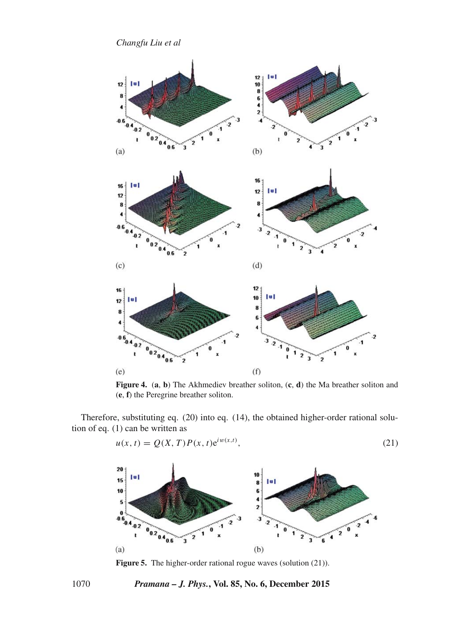*Changfu Liu et al*



**Figure 4.** (**a**, **b**) The Akhmediev breather soliton, (**c**, **d**) the Ma breather soliton and (**e**, **f**) the Peregrine breather soliton.

Therefore, substituting eq. (20) into eq. (14), the obtained higher-order rational solution of eq. (1) can be written as

$$
u(x, t) = Q(X, T)P(x, t)e^{iw(x, t)},
$$
\n(21)



**Figure 5.** The higher-order rational rogue waves (solution (21)).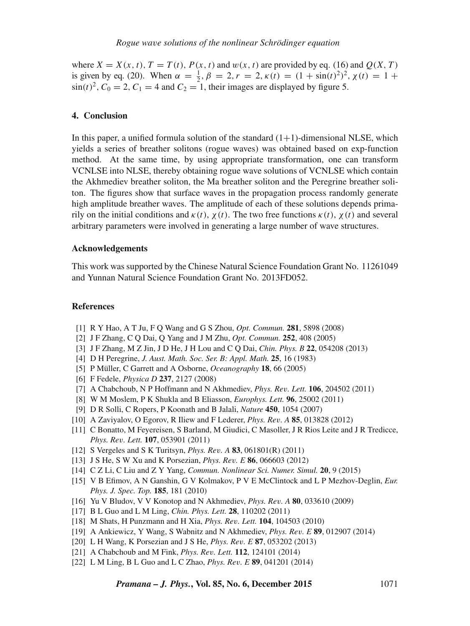where  $X = X(x, t)$ ,  $T = T(t)$ ,  $P(x, t)$  and  $w(x, t)$  are provided by eq. (16) and  $Q(X, T)$ is given by eq. (20). When  $\alpha = \frac{1}{2}$ ,  $\beta = 2$ ,  $r = 2$ ,  $\kappa(t) = (1 + \sin(t)^2)^2$ ,  $\chi(t) = 1 +$  $\sin(t)^2$ ,  $C_0 = 2$ ,  $C_1 = 4$  and  $C_2 = 1$ , their images are displayed by figure 5.

## **4. Conclusion**

In this paper, a unified formula solution of the standard  $(1+1)$ -dimensional NLSE, which yields a series of breather solitons (rogue waves) was obtained based on exp-function method. At the same time, by using appropriate transformation, one can transform VCNLSE into NLSE, thereby obtaining rogue wave solutions of VCNLSE which contain the Akhmediev breather soliton, the Ma breather soliton and the Peregrine breather soliton. The figures show that surface waves in the propagation process randomly generate high amplitude breather waves. The amplitude of each of these solutions depends primarily on the initial conditions and  $\kappa(t)$ ,  $\chi(t)$ . The two free functions  $\kappa(t)$ ,  $\chi(t)$  and several arbitrary parameters were involved in generating a large number of wave structures.

## **Acknowledgements**

This work was supported by the Chinese Natural Science Foundation Grant No. 11261049 and Yunnan Natural Science Foundation Grant No. 2013FD052.

#### **References**

- [1] R Y Hao, A T Ju, F Q Wang and G S Zhou, *Opt. Commun.* **281**, 5898 (2008)
- [2] J F Zhang, C Q Dai, Q Yang and J M Zhu, *Opt. Commun.* **252**, 408 (2005)
- [3] J F Zhang, M Z Jin, J D He, J H Lou and C Q Dai, *Chin. Phys. B* **22**, 054208 (2013)
- [4] D H Peregrine, *J. Aust. Math. Soc. Ser. B: Appl. Math.* **25**, 16 (1983)
- [5] P Müller, C Garrett and A Osborne, *Oceanography* **18**, 66 (2005)
- [6] F Fedele, *Physica D* **237**, 2127 (2008)
- [7] A Chabchoub, N P Hoffmann and N Akhmediev, *Phys. Re*v*. Lett.* **106**, 204502 (2011)
- [8] W M Moslem, P K Shukla and B Eliasson, *Europhys. Lett.* **96**, 25002 (2011)
- [9] D R Solli, C Ropers, P Koonath and B Jalali, *Nature* **450**, 1054 (2007)
- [10] A Zaviyalov, O Egorov, R Iliew and F Lederer, *Phys. Re*v*. A* **85**, 013828 (2012)
- [11] C Bonatto, M Feyereisen, S Barland, M Giudici, C Masoller, J R Rios Leite and J R Tredicce, *Phys. Re*v*. Lett.* **107**, 053901 (2011)
- [12] S Vergeles and S K Turitsyn, *Phys. Re*v*. A* **83**, 061801(R) (2011)
- [13] J S He, S W Xu and K Porsezian, *Phys. Re*v*. E* **86**, 066603 (2012)
- [14] C Z Li, C Liu and Z Y Yang, *Commun. Nonlinear Sci. Numer. Simul.* **20**, 9 (2015)
- [15] V B Efimov, A N Ganshin, G V Kolmakov, P V E McClintock and L P Mezhov-Deglin, *Eur. Phys. J. Spec. Top.* **185**, 181 (2010)
- [16] Yu V Bludov, V V Konotop and N Akhmediev, *Phys. Re*v*. A* **80**, 033610 (2009)
- [17] B L Guo and L M Ling, *Chin. Phys. Lett.* **28**, 110202 (2011)
- [18] M Shats, H Punzmann and H Xia, *Phys. Re*v*. Lett.* **104**, 104503 (2010)
- [19] A Ankiewicz, Y Wang, S Wabnitz and N Akhmediev, *Phys. Re*v*. E* **89**, 012907 (2014)
- [20] L H Wang, K Porsezian and J S He, *Phys. Re*v*. E* **87**, 053202 (2013)
- [21] A Chabchoub and M Fink, *Phys. Re*v*. Lett.* **112**, 124101 (2014)
- [22] L M Ling, B L Guo and L C Zhao, *Phys. Re*v*. E* **89**, 041201 (2014)